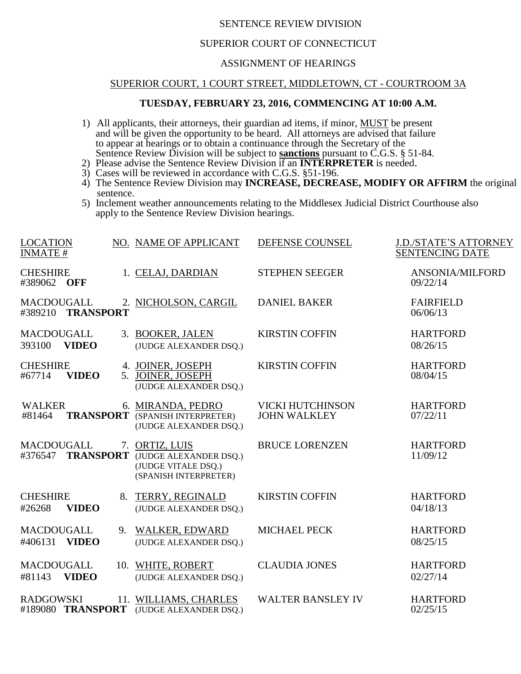# SENTENCE REVIEW DIVISION

## SUPERIOR COURT OF CONNECTICUT

## ASSIGNMENT OF HEARINGS

#### SUPERIOR COURT, 1 COURT STREET, MIDDLETOWN, CT - COURTROOM 3A

## **TUESDAY, FEBRUARY 23, 2016, COMMENCING AT 10:00 A.M.**

- 1) All applicants, their attorneys, their guardian ad items, if minor, MUST be present and will be given the opportunity to be heard. All attorneys are advised that failure to appear at hearings or to obtain a continuance through the Secretary of the Sentence Review Division will be subject to **sanctions** pursuant to C.G.S. § 51-84.
- 2) Please advise the Sentence Review Division if an **INTERPRETER** is needed.
- 3) Cases will be reviewed in accordance with C.G.S. §51-196.
- 4) The Sentence Review Division may **INCREASE, DECREASE, MODIFY OR AFFIRM** the original sentence.
- 5) Inclement weather announcements relating to the Middlesex Judicial District Courthouse also apply to the Sentence Review Division hearings.

| <b>LOCATION</b><br><b>INMATE#</b>                |    | NO. NAME OF APPLICANT                                                                    | DEFENSE COUNSEL                         | <b>J.D./STATE'S ATTORNEY</b><br><b>SENTENCING DATE</b> |
|--------------------------------------------------|----|------------------------------------------------------------------------------------------|-----------------------------------------|--------------------------------------------------------|
| <b>CHESHIRE</b><br>#389062<br><b>OFF</b>         |    | 1. CELAJ, DARDIAN                                                                        | <b>STEPHEN SEEGER</b>                   | ANSONIA/MILFORD<br>09/22/14                            |
| <b>MACDOUGALL</b><br>#389210 TRANSPORT           |    | 2. NICHOLSON, CARGIL                                                                     | <b>DANIEL BAKER</b>                     | <b>FAIRFIELD</b><br>06/06/13                           |
| MACDOUGALL<br><b>VIDEO</b><br>393100             |    | 3. BOOKER, JALEN<br>(JUDGE ALEXANDER DSQ.)                                               | <b>KIRSTIN COFFIN</b>                   | <b>HARTFORD</b><br>08/26/15                            |
| <b>CHESHIRE</b><br><b>VIDEO</b><br>#67714        |    | 4. JOINER, JOSEPH<br>5. JOINER, JOSEPH<br>(JUDGE ALEXANDER DSQ.)                         | <b>KIRSTIN COFFIN</b>                   | <b>HARTFORD</b><br>08/04/15                            |
| <b>WALKER</b><br><b>TRANSPORT</b><br>#81464      |    | 6. MIRANDA, PEDRO<br>(SPANISH INTERPRETER)<br>(JUDGE ALEXANDER DSQ.)                     | VICKI HUTCHINSON<br><b>JOHN WALKLEY</b> | <b>HARTFORD</b><br>07/22/11                            |
| <b>MACDOUGALL</b><br><b>TRANSPORT</b><br>#376547 |    | 7. ORTIZ, LUIS<br>(JUDGE ALEXANDER DSQ.)<br>(JUDGE VITALE DSQ.)<br>(SPANISH INTERPRETER) | <b>BRUCE LORENZEN</b>                   | <b>HARTFORD</b><br>11/09/12                            |
| <b>CHESHIRE</b><br><b>VIDEO</b><br>#26268        | 8. | TERRY, REGINALD<br>(JUDGE ALEXANDER DSQ.)                                                | <b>KIRSTIN COFFIN</b>                   | <b>HARTFORD</b><br>04/18/13                            |
| <b>MACDOUGALL</b><br>#406131<br><b>VIDEO</b>     | 9. | <b>WALKER, EDWARD</b><br>(JUDGE ALEXANDER DSQ.)                                          | <b>MICHAEL PECK</b>                     | <b>HARTFORD</b><br>08/25/15                            |
| <b>MACDOUGALL</b><br>#81143<br><b>VIDEO</b>      |    | 10. WHITE, ROBERT<br>(JUDGE ALEXANDER DSQ.)                                              | <b>CLAUDIA JONES</b>                    | <b>HARTFORD</b><br>02/27/14                            |
| <b>RADGOWSKI</b><br>#189080 TRANSPORT            |    | 11. WILLIAMS, CHARLES<br>(JUDGE ALEXANDER DSQ.)                                          | <b>WALTER BANSLEY IV</b>                | <b>HARTFORD</b><br>02/25/15                            |